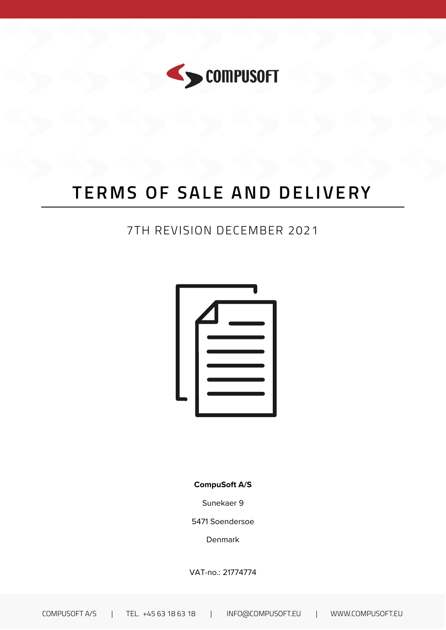

# **TERMS OF SALE AND DELIVERY**

### 7TH REVISION DECEMBER 2021



**CompuSoft A/S**

Sunekaer 9

5471 Soendersoe

Denmark

VAT-no.: 21774774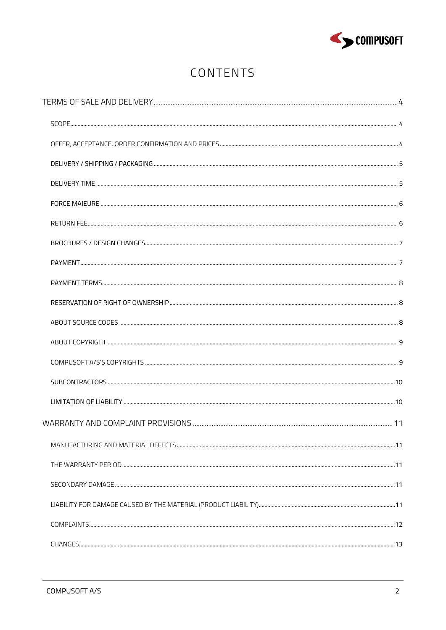

# CONTENTS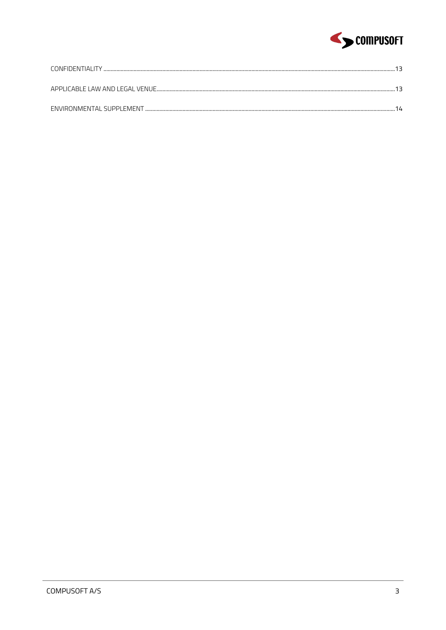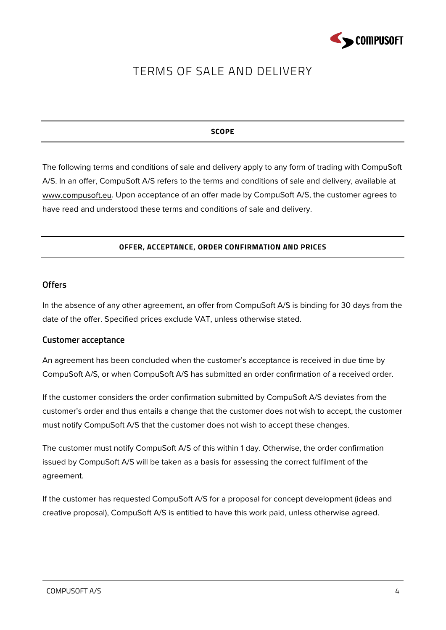

# <span id="page-3-0"></span>TERMS OF SALE AND DELIVERY

#### **SCOPE**

<span id="page-3-1"></span>The following terms and conditions of sale and delivery apply to any form of trading with CompuSoft A/S. In an offer, CompuSoft A/S refers to the terms and conditions of sale and delivery, available at www.compusoft.eu. Upon acceptance of an offer made by CompuSoft A/S, the customer agrees to have read and understood these terms and conditions of sale and delivery.

#### **OFFER, ACCEPTANCE, ORDER CONFIRMATION AND PRICES**

#### <span id="page-3-2"></span>**Offers**

In the absence of any other agreement, an offer from CompuSoft A/S is binding for 30 days from the date of the offer. Specified prices exclude VAT, unless otherwise stated.

#### **Customer acceptance**

An agreement has been concluded when the customer's acceptance is received in due time by CompuSoft A/S, or when CompuSoft A/S has submitted an order confirmation of a received order.

If the customer considers the order confirmation submitted by CompuSoft A/S deviates from the customer's order and thus entails a change that the customer does not wish to accept, the customer must notify CompuSoft A/S that the customer does not wish to accept these changes.

The customer must notify CompuSoft A/S of this within 1 day. Otherwise, the order confirmation issued by CompuSoft A/S will be taken as a basis for assessing the correct fulfilment of the agreement.

If the customer has requested CompuSoft A/S for a proposal for concept development (ideas and creative proposal), CompuSoft A/S is entitled to have this work paid, unless otherwise agreed.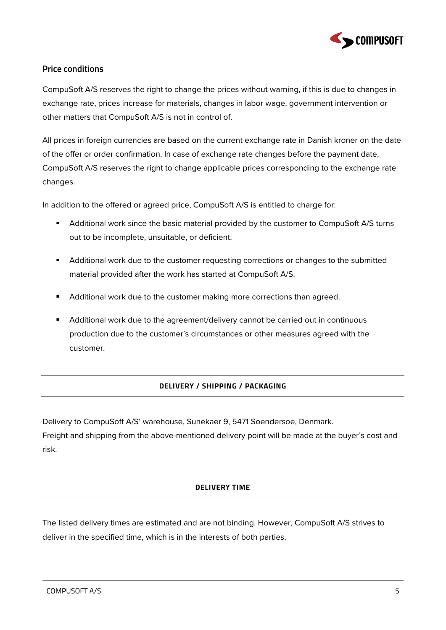

#### **Price conditions**

CompuSoft A/S reserves the right to change the prices without warning, if this is due to changes in exchange rate, prices increase for materials, changes in labor wage, government intervention or other matters that CompuSoft A/S is not in control of.

All prices in foreign currencies are based on the current exchange rate in Danish kroner on the date of the offer or order confirmation. In case of exchange rate changes before the payment date, CompuSoft A/S reserves the right to change applicable prices corresponding to the exchange rate changes.

In addition to the offered or agreed price, CompuSoft A/S is entitled to charge for:

- Additional work since the basic material provided by the customer to CompuSoft A/S turns out to be incomplete, unsuitable, or deficient.
- **Additional work due to the customer requesting corrections or changes to the submitted** material provided after the work has started at CompuSoft A/S.
- Additional work due to the customer making more corrections than agreed.
- Additional work due to the agreement/delivery cannot be carried out in continuous production due to the customer's circumstances or other measures agreed with the customer.

#### **DELIVERY / SHIPPING / PACKAGING**

<span id="page-4-0"></span>Delivery to CompuSoft A/S' warehouse, Sunekaer 9, 5471 Soendersoe, Denmark.

<span id="page-4-1"></span>Freight and shipping from the above-mentioned delivery point will be made at the buyer's cost and risk.

#### **DELIVERY TIME**

The listed delivery times are estimated and are not binding. However, CompuSoft A/S strives to deliver in the specified time, which is in the interests of both parties.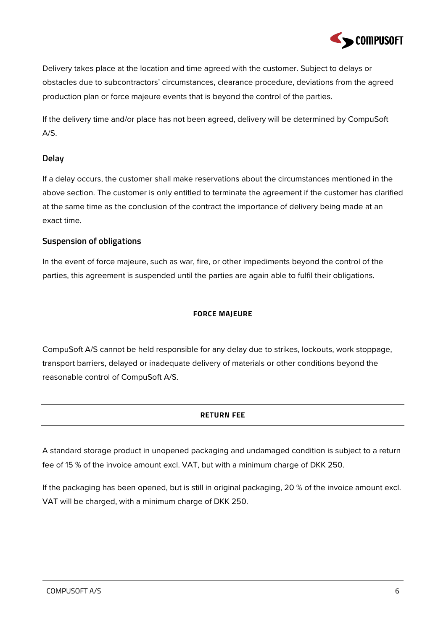

Delivery takes place at the location and time agreed with the customer. Subject to delays or obstacles due to subcontractors' circumstances, clearance procedure, deviations from the agreed production plan or force majeure events that is beyond the control of the parties.

If the delivery time and/or place has not been agreed, delivery will be determined by CompuSoft  $A/S.$ 

#### **Delay**

If a delay occurs, the customer shall make reservations about the circumstances mentioned in the above section. The customer is only entitled to terminate the agreement if the customer has clarified at the same time as the conclusion of the contract the importance of delivery being made at an exact time.

#### **Suspension of obligations**

<span id="page-5-0"></span>In the event of force majeure, such as war, fire, or other impediments beyond the control of the parties, this agreement is suspended until the parties are again able to fulfil their obligations.

#### **FORCE MAJEURE**

<span id="page-5-1"></span>CompuSoft A/S cannot be held responsible for any delay due to strikes, lockouts, work stoppage, transport barriers, delayed or inadequate delivery of materials or other conditions beyond the reasonable control of CompuSoft A/S.

#### **RETURN FEE**

A standard storage product in unopened packaging and undamaged condition is subject to a return fee of 15 % of the invoice amount excl. VAT, but with a minimum charge of DKK 250.

If the packaging has been opened, but is still in original packaging, 20 % of the invoice amount excl. VAT will be charged, with a minimum charge of DKK 250.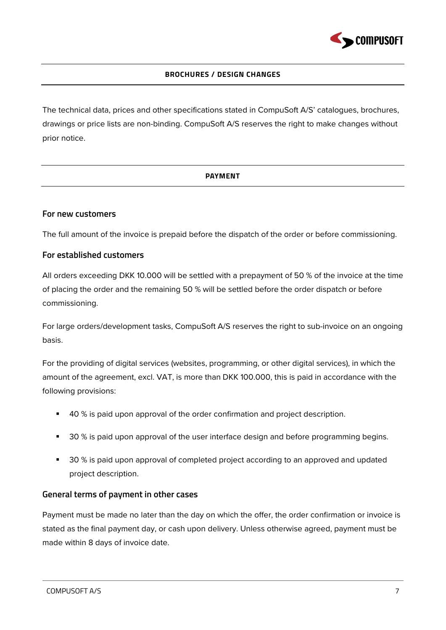

#### **BROCHURES / DESIGN CHANGES**

<span id="page-6-1"></span><span id="page-6-0"></span>The technical data, prices and other specifications stated in CompuSoft A/S' catalogues, brochures, drawings or price lists are non-binding. CompuSoft A/S reserves the right to make changes without prior notice.

#### **PAYMENT**

#### **For new customers**

The full amount of the invoice is prepaid before the dispatch of the order or before commissioning.

#### **For established customers**

All orders exceeding DKK 10.000 will be settled with a prepayment of 50 % of the invoice at the time of placing the order and the remaining 50 % will be settled before the order dispatch or before commissioning.

For large orders/development tasks, CompuSoft A/S reserves the right to sub-invoice on an ongoing basis.

For the providing of digital services (websites, programming, or other digital services), in which the amount of the agreement, excl. VAT, is more than DKK 100.000, this is paid in accordance with the following provisions:

- 40 % is paid upon approval of the order confirmation and project description.
- **30** % is paid upon approval of the user interface design and before programming begins.
- 30 % is paid upon approval of completed project according to an approved and updated project description.

#### **General terms of payment in other cases**

Payment must be made no later than the day on which the offer, the order confirmation or invoice is stated as the final payment day, or cash upon delivery. Unless otherwise agreed, payment must be made within 8 days of invoice date.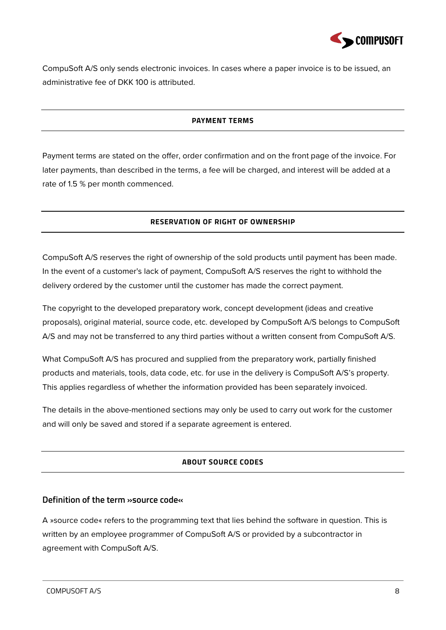

<span id="page-7-0"></span>CompuSoft A/S only sends electronic invoices. In cases where a paper invoice is to be issued, an administrative fee of DKK 100 is attributed.

#### **PAYMENT TERMS**

<span id="page-7-1"></span>Payment terms are stated on the offer, order confirmation and on the front page of the invoice. For later payments, than described in the terms, a fee will be charged, and interest will be added at a rate of 1.5 % per month commenced.

#### **RESERVATION OF RIGHT OF OWNERSHIP**

CompuSoft A/S reserves the right of ownership of the sold products until payment has been made. In the event of a customer's lack of payment, CompuSoft A/S reserves the right to withhold the delivery ordered by the customer until the customer has made the correct payment.

The copyright to the developed preparatory work, concept development (ideas and creative proposals), original material, source code, etc. developed by CompuSoft A/S belongs to CompuSoft A/S and may not be transferred to any third parties without a written consent from CompuSoft A/S.

What CompuSoft A/S has procured and supplied from the preparatory work, partially finished products and materials, tools, data code, etc. for use in the delivery is CompuSoft A/S's property. This applies regardless of whether the information provided has been separately invoiced.

<span id="page-7-2"></span>The details in the above-mentioned sections may only be used to carry out work for the customer and will only be saved and stored if a separate agreement is entered.

#### **ABOUT SOURCE CODES**

#### **Definition of the term »source code«**

A »source code« refers to the programming text that lies behind the software in question. This is written by an employee programmer of CompuSoft A/S or provided by a subcontractor in agreement with CompuSoft A/S.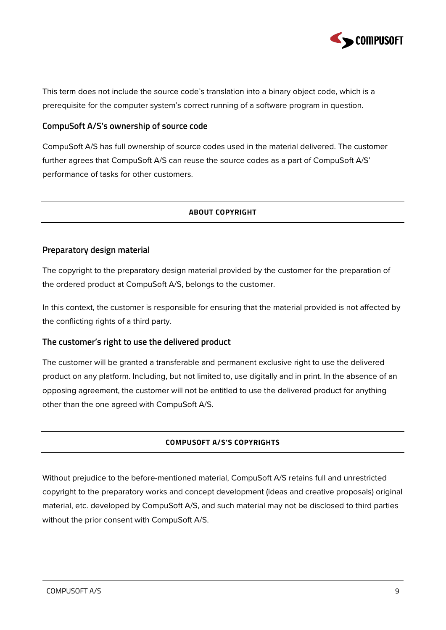

This term does not include the source code's translation into a binary object code, which is a prerequisite for the computer system's correct running of a software program in question.

#### **CompuSoft A/S's ownership of source code**

<span id="page-8-0"></span>CompuSoft A/S has full ownership of source codes used in the material delivered. The customer further agrees that CompuSoft A/S can reuse the source codes as a part of CompuSoft A/S' performance of tasks for other customers.

#### **ABOUT COPYRIGHT**

#### **Preparatory design material**

The copyright to the preparatory design material provided by the customer for the preparation of the ordered product at CompuSoft A/S, belongs to the customer.

In this context, the customer is responsible for ensuring that the material provided is not affected by the conflicting rights of a third party.

#### **The customer's right to use the delivered product**

The customer will be granted a transferable and permanent exclusive right to use the delivered product on any platform. Including, but not limited to, use digitally and in print. In the absence of an opposing agreement, the customer will not be entitled to use the delivered product for anything other than the one agreed with CompuSoft A/S.

#### **COMPUSOFT A/S'S COPYRIGHTS**

<span id="page-8-1"></span>Without prejudice to the before-mentioned material, CompuSoft A/S retains full and unrestricted copyright to the preparatory works and concept development (ideas and creative proposals) original material, etc. developed by CompuSoft A/S, and such material may not be disclosed to third parties without the prior consent with CompuSoft A/S.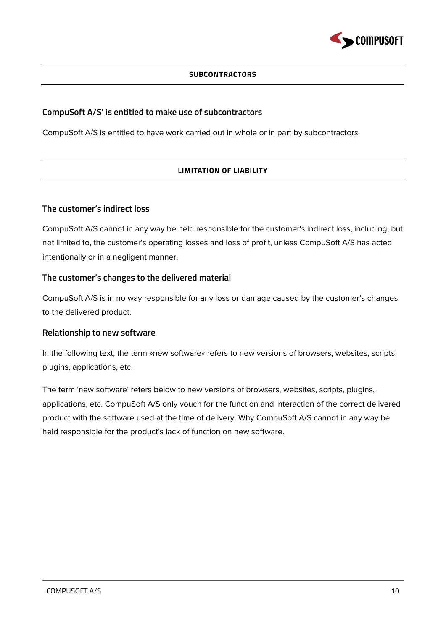

#### **SUBCONTRACTORS**

#### <span id="page-9-0"></span>**CompuSoft A/S' is entitled to make use of subcontractors**

<span id="page-9-1"></span>CompuSoft A/S is entitled to have work carried out in whole or in part by subcontractors.

#### **LIMITATION OF LIABILITY**

#### **The customer's indirect loss**

CompuSoft A/S cannot in any way be held responsible for the customer's indirect loss, including, but not limited to, the customer's operating losses and loss of profit, unless CompuSoft A/S has acted intentionally or in a negligent manner.

#### **The customer's changes to the delivered material**

CompuSoft A/S is in no way responsible for any loss or damage caused by the customer's changes to the delivered product.

#### **Relationship to new software**

In the following text, the term »new software« refers to new versions of browsers, websites, scripts, plugins, applications, etc.

The term 'new software' refers below to new versions of browsers, websites, scripts, plugins, applications, etc. CompuSoft A/S only vouch for the function and interaction of the correct delivered product with the software used at the time of delivery. Why CompuSoft A/S cannot in any way be held responsible for the product's lack of function on new software.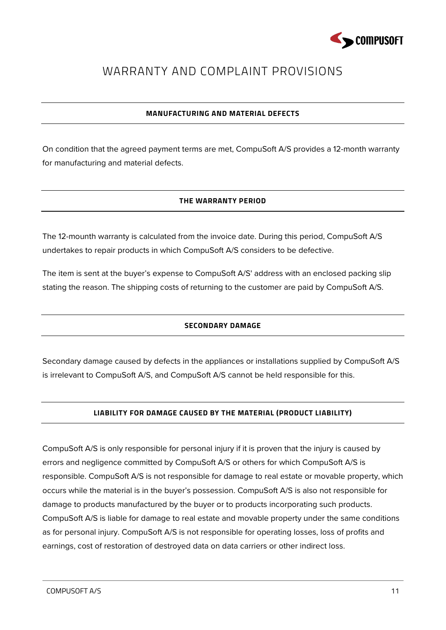

### <span id="page-10-0"></span>WARRANTY AND COMPLAINT PROVISIONS

#### **MANUFACTURING AND MATERIAL DEFECTS**

<span id="page-10-2"></span><span id="page-10-1"></span>On condition that the agreed payment terms are met, CompuSoft A/S provides a 12-month warranty for manufacturing and material defects.

#### **THE WARRANTY PERIOD**

The 12-mounth warranty is calculated from the invoice date. During this period, CompuSoft A/S undertakes to repair products in which CompuSoft A/S considers to be defective.

<span id="page-10-3"></span>The item is sent at the buyer's expense to CompuSoft A/S' address with an enclosed packing slip stating the reason. The shipping costs of returning to the customer are paid by CompuSoft A/S.

#### **SECONDARY DAMAGE**

<span id="page-10-4"></span>Secondary damage caused by defects in the appliances or installations supplied by CompuSoft A/S is irrelevant to CompuSoft A/S, and CompuSoft A/S cannot be held responsible for this.

#### **LIABILITY FOR DAMAGE CAUSED BY THE MATERIAL (PRODUCT LIABILITY)**

CompuSoft A/S is only responsible for personal injury if it is proven that the injury is caused by errors and negligence committed by CompuSoft A/S or others for which CompuSoft A/S is responsible. CompuSoft A/S is not responsible for damage to real estate or movable property, which occurs while the material is in the buyer's possession. CompuSoft A/S is also not responsible for damage to products manufactured by the buyer or to products incorporating such products. CompuSoft A/S is liable for damage to real estate and movable property under the same conditions as for personal injury. CompuSoft A/S is not responsible for operating losses, loss of profits and earnings, cost of restoration of destroyed data on data carriers or other indirect loss.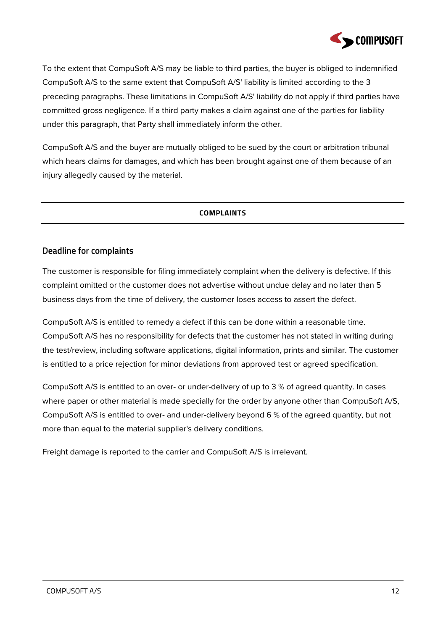

To the extent that CompuSoft A/S may be liable to third parties, the buyer is obliged to indemnified CompuSoft A/S to the same extent that CompuSoft A/S' liability is limited according to the 3 preceding paragraphs. These limitations in CompuSoft A/S' liability do not apply if third parties have committed gross negligence. If a third party makes a claim against one of the parties for liability under this paragraph, that Party shall immediately inform the other.

<span id="page-11-0"></span>CompuSoft A/S and the buyer are mutually obliged to be sued by the court or arbitration tribunal which hears claims for damages, and which has been brought against one of them because of an injury allegedly caused by the material.

#### **COMPLAINTS**

#### **Deadline for complaints**

The customer is responsible for filing immediately complaint when the delivery is defective. If this complaint omitted or the customer does not advertise without undue delay and no later than 5 business days from the time of delivery, the customer loses access to assert the defect.

CompuSoft A/S is entitled to remedy a defect if this can be done within a reasonable time. CompuSoft A/S has no responsibility for defects that the customer has not stated in writing during the test/review, including software applications, digital information, prints and similar. The customer is entitled to a price rejection for minor deviations from approved test or agreed specification.

CompuSoft A/S is entitled to an over- or under-delivery of up to 3 % of agreed quantity. In cases where paper or other material is made specially for the order by anyone other than CompuSoft A/S, CompuSoft A/S is entitled to over- and under-delivery beyond 6 % of the agreed quantity, but not more than equal to the material supplier's delivery conditions.

Freight damage is reported to the carrier and CompuSoft A/S is irrelevant.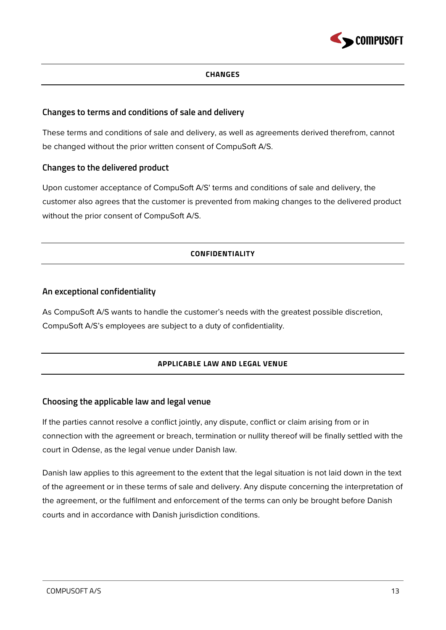

#### **CHANGES**

#### <span id="page-12-0"></span>**Changes to terms and conditions of sale and delivery**

These terms and conditions of sale and delivery, as well as agreements derived therefrom, cannot be changed without the prior written consent of CompuSoft A/S.

#### **Changes to the delivered product**

<span id="page-12-1"></span>Upon customer acceptance of CompuSoft A/S' terms and conditions of sale and delivery, the customer also agrees that the customer is prevented from making changes to the delivered product without the prior consent of CompuSoft A/S.

#### **CONFIDENTIALITY**

#### **An exceptional confidentiality**

<span id="page-12-2"></span>As CompuSoft A/S wants to handle the customer's needs with the greatest possible discretion, CompuSoft A/S's employees are subject to a duty of confidentiality.

#### **APPLICABLE LAW AND LEGAL VENUE**

#### **Choosing the applicable law and legal venue**

If the parties cannot resolve a conflict jointly, any dispute, conflict or claim arising from or in connection with the agreement or breach, termination or nullity thereof will be finally settled with the court in Odense, as the legal venue under Danish law.

Danish law applies to this agreement to the extent that the legal situation is not laid down in the text of the agreement or in these terms of sale and delivery. Any dispute concerning the interpretation of the agreement, or the fulfilment and enforcement of the terms can only be brought before Danish courts and in accordance with Danish jurisdiction conditions.